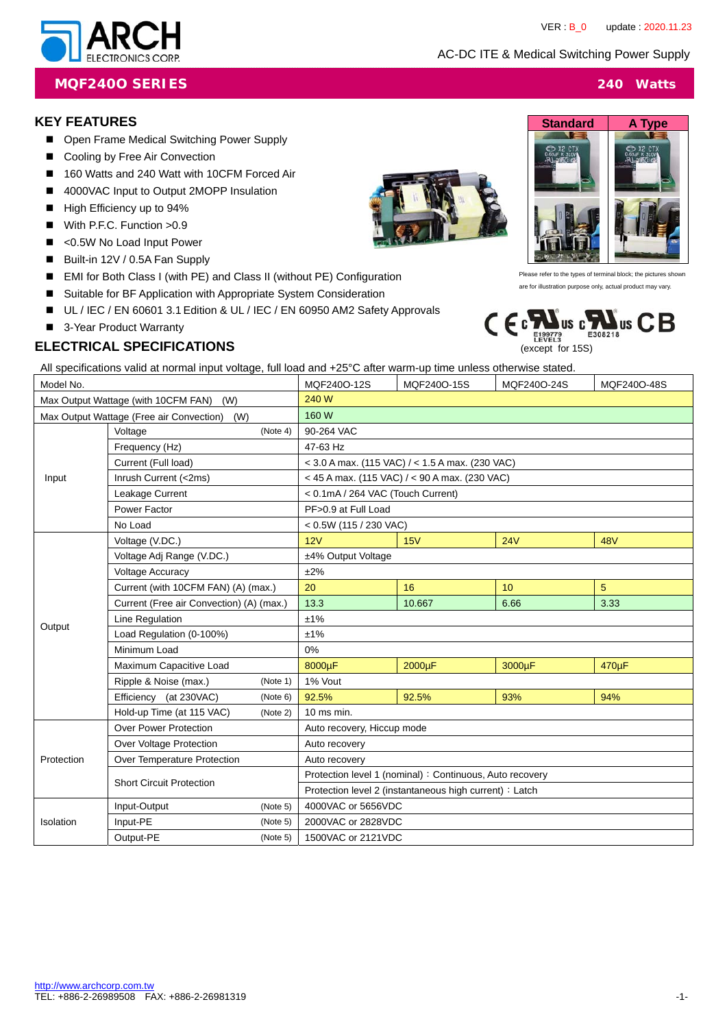AC-DC ITE & Medical Switching Power Supply



#### **MQF240O SERIES 240 Watts**

#### **KEY FEATURES**

- Open Frame Medical Switching Power Supply
- Cooling by Free Air Convection
- 160 Watts and 240 Watt with 10CFM Forced Air
- 4000VAC Input to Output 2MOPP Insulation
- High Efficiency up to 94%
- With P.F.C. Function > 0.9
- <0.5W No Load Input Power
- Built-in 12V / 0.5A Fan Supply
- EMI for Both Class I (with PE) and Class II (without PE) Configuration
- Suitable for BF Application with Appropriate System Consideration
- UL / IEC / EN 60601 3.1 Edition & UL / IEC / EN 60950 AM2 Safety Approvals
- 3-Year Product Warranty

## **ELECTRICAL SPECIFICATIONS**

All specifications valid at normal input voltage, full load and +25°C after warm-up time unless otherwise stated.

| Model No.                                       |                                          | MQF240O-12S | MQF240O-15S                                              | MQF240O-24S                                         | MQF240O-48S |            |  |
|-------------------------------------------------|------------------------------------------|-------------|----------------------------------------------------------|-----------------------------------------------------|-------------|------------|--|
| Max Output Wattage (with 10CFM FAN)<br>(W)      |                                          | 240 W       |                                                          |                                                     |             |            |  |
| Max Output Wattage (Free air Convection)<br>(W) |                                          | 160 W       |                                                          |                                                     |             |            |  |
|                                                 | Voltage<br>(Note 4)                      |             | 90-264 VAC                                               |                                                     |             |            |  |
|                                                 | Frequency (Hz)                           |             | 47-63 Hz                                                 |                                                     |             |            |  |
|                                                 | Current (Full load)                      |             |                                                          | $<$ 3.0 A max. (115 VAC) / $<$ 1.5 A max. (230 VAC) |             |            |  |
| Input                                           | Inrush Current (<2ms)                    |             |                                                          | < 45 A max. (115 VAC) / < 90 A max. (230 VAC)       |             |            |  |
|                                                 | Leakage Current                          |             | < 0.1mA / 264 VAC (Touch Current)                        |                                                     |             |            |  |
|                                                 | Power Factor                             |             | PF>0.9 at Full Load                                      |                                                     |             |            |  |
|                                                 | No Load                                  |             | $< 0.5W$ (115 / 230 VAC)                                 |                                                     |             |            |  |
|                                                 | Voltage (V.DC.)                          |             | 12V                                                      | 15V                                                 | 24V         | <b>48V</b> |  |
|                                                 | Voltage Adj Range (V.DC.)                |             | ±4% Output Voltage                                       |                                                     |             |            |  |
|                                                 | Voltage Accuracy                         |             | ±2%                                                      |                                                     |             |            |  |
|                                                 | Current (with 10CFM FAN) (A) (max.)      |             | 20                                                       | 16                                                  | 10          | 5          |  |
|                                                 | Current (Free air Convection) (A) (max.) |             | 13.3                                                     | 10.667                                              | 6.66        | 3.33       |  |
| Output                                          | Line Regulation                          |             | ±1%                                                      |                                                     |             |            |  |
|                                                 | Load Regulation (0-100%)                 |             | ±1%                                                      |                                                     |             |            |  |
|                                                 | Minimum Load                             |             | 0%                                                       |                                                     |             |            |  |
|                                                 | Maximum Capacitive Load                  |             | 8000µF                                                   | 2000µF                                              | 3000µF      | 470uF      |  |
|                                                 | Ripple & Noise (max.)                    | (Note 1)    | 1% Vout                                                  |                                                     |             |            |  |
|                                                 | Efficiency (at 230VAC)                   | (Note 6)    | 92.5%                                                    | 92.5%                                               | 93%         | 94%        |  |
|                                                 | Hold-up Time (at 115 VAC)                | (Note 2)    | $10$ ms min.                                             |                                                     |             |            |  |
|                                                 | <b>Over Power Protection</b>             |             | Auto recovery, Hiccup mode                               |                                                     |             |            |  |
|                                                 | Over Voltage Protection                  |             | Auto recovery                                            |                                                     |             |            |  |
| Protection                                      | Over Temperature Protection              |             | Auto recovery                                            |                                                     |             |            |  |
|                                                 | <b>Short Circuit Protection</b>          |             | Protection level 1 (nominal) : Continuous, Auto recovery |                                                     |             |            |  |
|                                                 |                                          |             | Protection level 2 (instantaneous high current) : Latch  |                                                     |             |            |  |
|                                                 | Input-Output                             | (Note 5)    | 4000VAC or 5656VDC                                       |                                                     |             |            |  |
| Isolation                                       | Input-PE                                 | (Note 5)    | 2000VAC or 2828VDC                                       |                                                     |             |            |  |
|                                                 | Output-PE                                | (Note 5)    | 1500VAC or 2121VDC                                       |                                                     |             |            |  |





Please refer to the types of terminal block; the pictures show are for illustration purpose only, actual product may vary.

 $c_{\frac{F129779}{129273}}$ us  $c_{\frac{F332218}{1208218}}$ us  $CB$ 

(except for 15S)

CE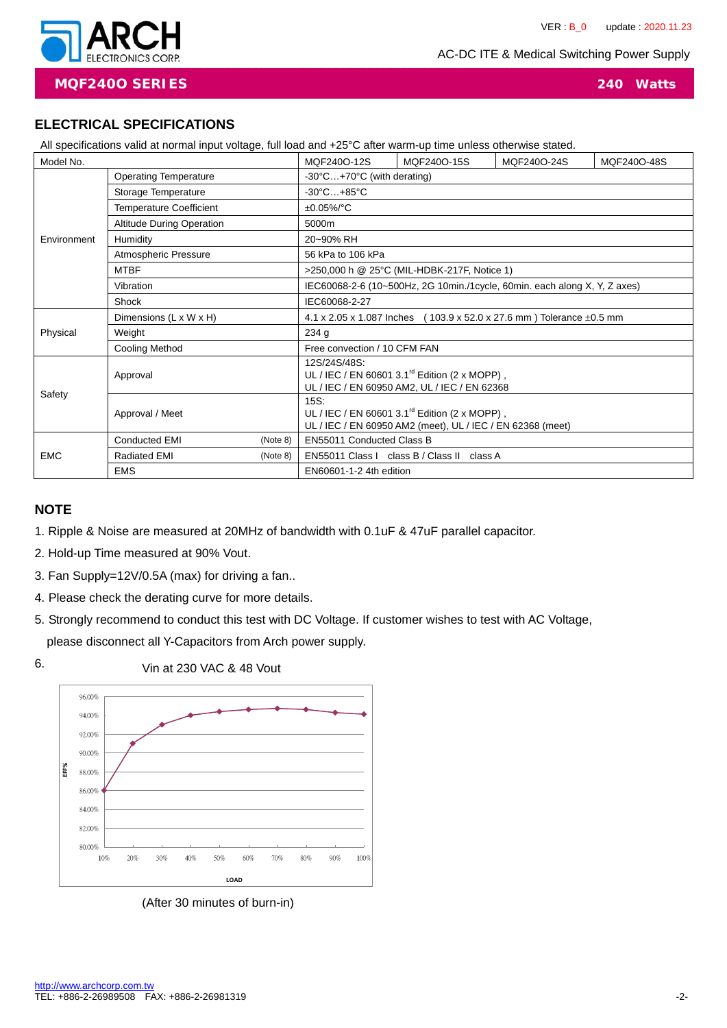AC-DC ITE & Medical Switching Power Supply



**MQF240O SERIES 240 Watts**

## **ELECTRICAL SPECIFICATIONS**

| All specifications valid at normal input voltage, full load and +25°C after warm-up time unless otherwise stated. |  |
|-------------------------------------------------------------------------------------------------------------------|--|
|-------------------------------------------------------------------------------------------------------------------|--|

| $\cdots$ oppositions take at the main them to may by take local and $\cdots$ as a contribution of mille values of $\cdots$<br>Model No. |                                  | MQF240O-12S | MQF240O-15S                                                                                                                      | MQF240O-24S                                 | MQF240O-48S |  |  |
|-----------------------------------------------------------------------------------------------------------------------------------------|----------------------------------|-------------|----------------------------------------------------------------------------------------------------------------------------------|---------------------------------------------|-------------|--|--|
|                                                                                                                                         | <b>Operating Temperature</b>     |             | $-30^{\circ}$ C $+70^{\circ}$ C (with derating)                                                                                  |                                             |             |  |  |
|                                                                                                                                         | Storage Temperature              |             | $-30^{\circ}$ C $+85^{\circ}$ C                                                                                                  |                                             |             |  |  |
|                                                                                                                                         | <b>Temperature Coefficient</b>   |             | $±0.05\%$ /°C                                                                                                                    |                                             |             |  |  |
|                                                                                                                                         | <b>Altitude During Operation</b> |             | 5000m                                                                                                                            |                                             |             |  |  |
| Environment                                                                                                                             | Humidity                         |             | 20~90% RH                                                                                                                        |                                             |             |  |  |
|                                                                                                                                         | Atmospheric Pressure             |             | 56 kPa to 106 kPa                                                                                                                |                                             |             |  |  |
|                                                                                                                                         | <b>MTBF</b>                      |             |                                                                                                                                  | >250,000 h @ 25°C (MIL-HDBK-217F, Notice 1) |             |  |  |
|                                                                                                                                         | Vibration                        |             | IEC60068-2-6 (10~500Hz, 2G 10min./1cycle, 60min. each along X, Y, Z axes)                                                        |                                             |             |  |  |
|                                                                                                                                         | Shock                            |             | IEC60068-2-27                                                                                                                    |                                             |             |  |  |
|                                                                                                                                         | Dimensions (L x W x H)           |             | 4.1 x 2.05 x 1.087 Inches (103.9 x 52.0 x 27.6 mm) Tolerance $\pm$ 0.5 mm                                                        |                                             |             |  |  |
| Physical                                                                                                                                | Weight                           |             | 234 g                                                                                                                            |                                             |             |  |  |
|                                                                                                                                         | <b>Cooling Method</b>            |             | Free convection / 10 CFM FAN                                                                                                     |                                             |             |  |  |
|                                                                                                                                         | Approval                         |             | 12S/24S/48S:<br>UL / IEC / EN 60601 $3.1^{\text{rd}}$ Edition (2 x MOPP),<br>UL / IEC / EN 60950 AM2, UL / IEC / EN 62368        |                                             |             |  |  |
| Safety                                                                                                                                  | Approval / Meet                  |             | 15S:<br>UL / IEC / EN 60601 3.1 $^{\text{rd}}$ Edition (2 x MOPP),<br>UL / IEC / EN 60950 AM2 (meet), UL / IEC / EN 62368 (meet) |                                             |             |  |  |
|                                                                                                                                         | <b>Conducted EMI</b>             | (Note 8)    | EN55011 Conducted Class B                                                                                                        |                                             |             |  |  |
| <b>EMC</b>                                                                                                                              | <b>Radiated EMI</b><br>(Note 8)  |             | EN55011 Class I class B / Class II class A                                                                                       |                                             |             |  |  |
|                                                                                                                                         | <b>EMS</b>                       |             | EN60601-1-2 4th edition                                                                                                          |                                             |             |  |  |

### **NOTE**

- 1. Ripple & Noise are measured at 20MHz of bandwidth with 0.1uF & 47uF parallel capacitor.
- 2. Hold-up Time measured at 90% Vout.
- 3. Fan Supply=12V/0.5A (max) for driving a fan..
- 4. Please check the derating curve for more details.
- 5. Strongly recommend to conduct this test with DC Voltage. If customer wishes to test with AC Voltage, please disconnect all Y-Capacitors from Arch power supply.



(After 30 minutes of burn-in)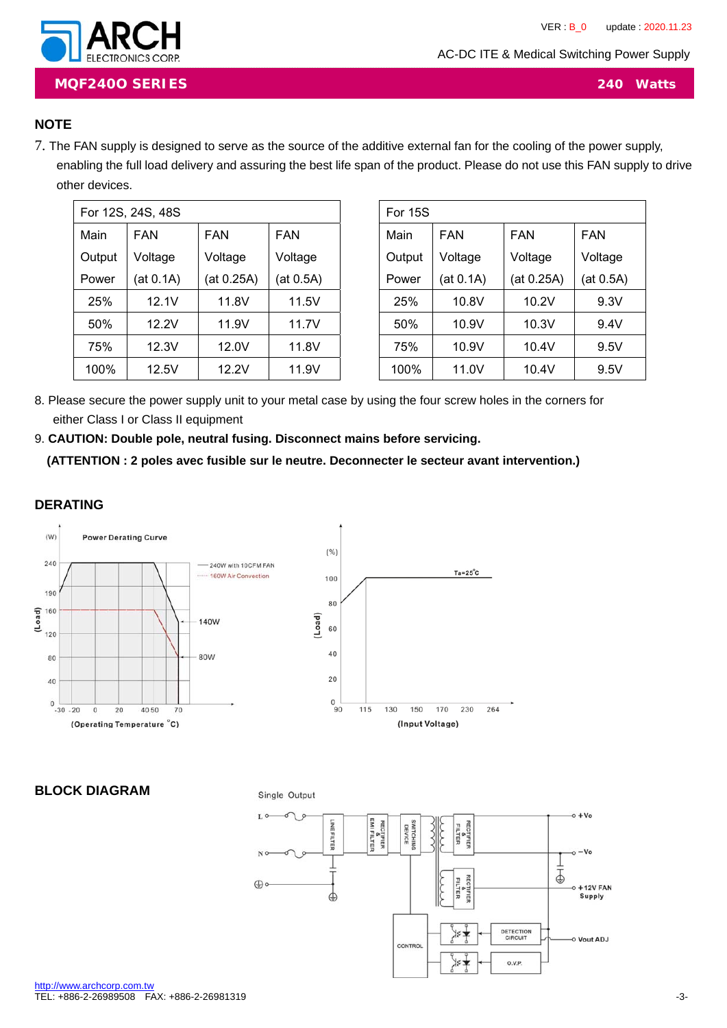AC-DC ITE & Medical Switching Power Supply



**MQF240O SERIES 240 Watts**

## **NOTE**

7. The FAN supply is designed to serve as the source of the additive external fan for the cooling of the power supply, enabling the full load delivery and assuring the best life span of the product. Please do not use this FAN supply to drive other devices.

| For 12S, 24S, 48S |            |            |            |  |  |  |
|-------------------|------------|------------|------------|--|--|--|
| Main              | <b>FAN</b> | FAN        | <b>FAN</b> |  |  |  |
| Output            | Voltage    | Voltage    | Voltage    |  |  |  |
| Power             | (at 0.1A)  | (at 0.25A) | (at 0.5A)  |  |  |  |
| 25%               | 12.1V      | 11.8V      | 11.5V      |  |  |  |
| 50%               | 12.2V      | 11.9V      | 11.7V      |  |  |  |
| 75%               | 12.3V      | 12.0V      | 11.8V      |  |  |  |
| 100%              | 12.5V      | 12.2V      | 11.9V      |  |  |  |

| For 15S            |           |            |           |  |  |  |
|--------------------|-----------|------------|-----------|--|--|--|
| <b>FAN</b><br>Main |           | FAN        | FAN       |  |  |  |
| Output             | Voltage   | Voltage    | Voltage   |  |  |  |
| Power              | (at 0.1A) | (at 0.25A) | (at 0.5A) |  |  |  |
| 25%                | 10.8V     | 10.2V      | 9.3V      |  |  |  |
| 50%                | 10.9V     | 10.3V      | 9.4V      |  |  |  |
| 75%                | 10.9V     | 10.4V      | 9.5V      |  |  |  |
| 100%               | 11.0V     | 10.4V      | 9.5V      |  |  |  |

8. Please secure the power supply unit to your metal case by using the four screw holes in the corners for either Class I or Class II equipment

9. **CAUTION: Double pole, neutral fusing. Disconnect mains before servicing.** 

**(ATTENTION : 2 poles avec fusible sur le neutre. Deconnecter le secteur avant intervention.)** 

## **DERATING**



#### **BLOCK DIAGRAM**



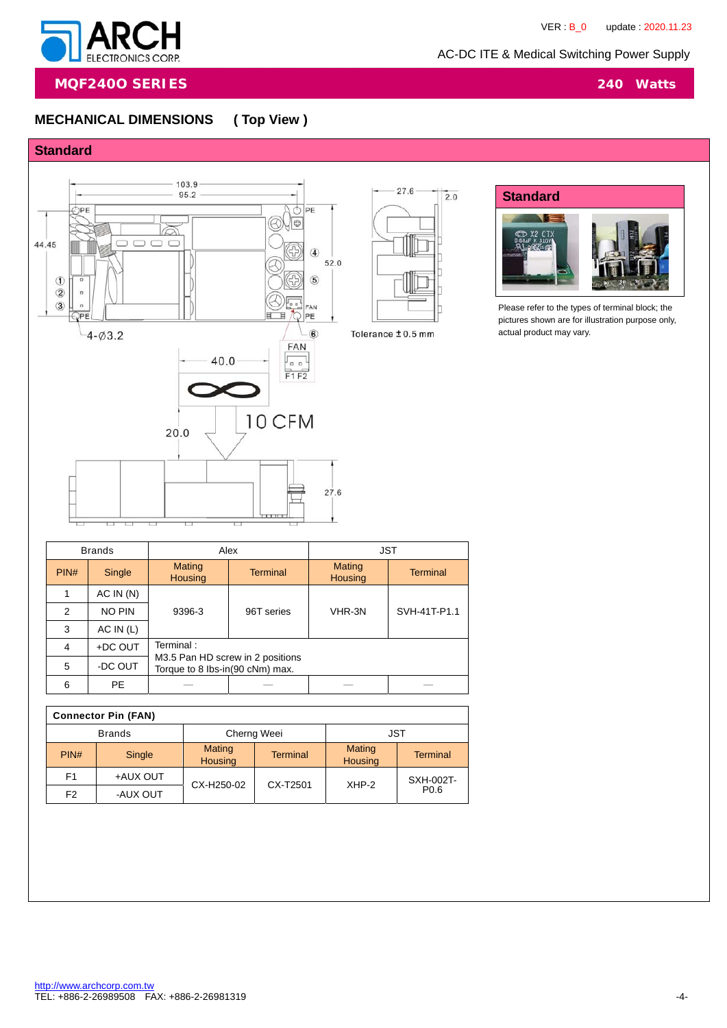



**MQF240O SERIES 240 Watts**

# **MECHANICAL DIMENSIONS ( Top View )**







Please refer to the types of terminal block; the pictures shown are for illustration purpose only, actual product may vary.

| <b>Brands</b> |           | Alex                            |                                  | <b>JST</b>               |                 |  |
|---------------|-----------|---------------------------------|----------------------------------|--------------------------|-----------------|--|
| PIN#          | Single    | Mating<br><b>Housing</b>        | <b>Terminal</b>                  | Mating<br><b>Housing</b> | <b>Terminal</b> |  |
|               | AC IN(N)  |                                 | 96T series                       | VHR-3N                   | SVH-41T-P1.1    |  |
| 2             | NO PIN    | 9396-3                          |                                  |                          |                 |  |
| 3             | AC IN (L) |                                 |                                  |                          |                 |  |
| 4             | +DC OUT   | Terminal:                       |                                  |                          |                 |  |
| 5             | -DC OUT   | Torque to 8 lbs-in(90 cNm) max. | M3.5 Pan HD screw in 2 positions |                          |                 |  |
| 6             | PE.       |                                 |                                  |                          |                 |  |
|               |           |                                 |                                  |                          |                 |  |

| <b>Connector Pin (FAN)</b> |          |                                 |                 |                          |                  |  |  |
|----------------------------|----------|---------------------------------|-----------------|--------------------------|------------------|--|--|
| <b>Brands</b>              |          |                                 | Cherng Weei     | JST                      |                  |  |  |
| PIN#                       | Single   | <b>Mating</b><br><b>Housing</b> | <b>Terminal</b> | Mating<br><b>Housing</b> | <b>Terminal</b>  |  |  |
| F <sub>1</sub>             | +AUX OUT | CX-H250-02                      | CX-T2501        | $XHP-2$                  | SXH-002T-        |  |  |
| F <sub>2</sub>             | -AUX OUT |                                 |                 |                          | P <sub>0.6</sub> |  |  |